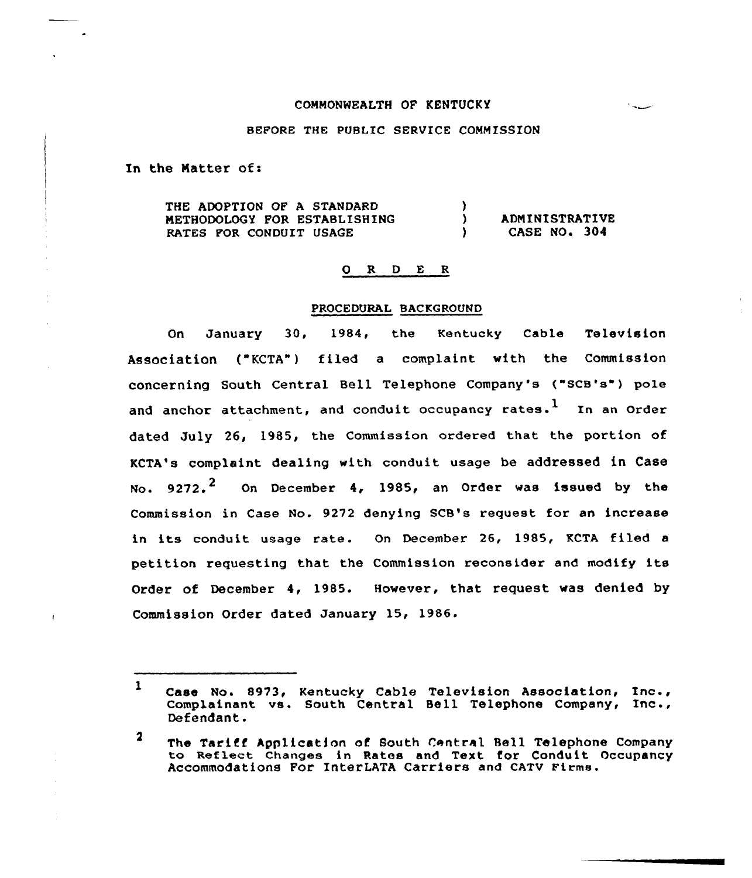### COMMONWEALTH OF KENTUCKY

#### BEFORE THE PUBLIC SERVICE COMMISSION

In the Matter of:

THE ADOPTION OF A STANDARD METHODOLOGY FOR ESTABLISHING RATES FOR CONDUIT USAGE ) ) ADMINISTRATIVE<br>
) CASE NO. 304 CASE NO. 304

### 0 R <sup>D</sup> E R

### PROCEDURAL BACKGROUND

On January 30, 1984, the Kentucky Cable Television Association ("KCTA") filed a complaint with the Commission concerning South Central Bell Telephone Company's ("SCB'e") pole and anchor attachment, and conduit occupancy rates.<sup>1</sup> In an Order dated July 26, 1985, the Commission ordered that the portion of KCTA's complaint dealing with conduit usage be addressed in Case No.  $9272.$  On December 4, 1985, an Order was issued by the Commission in Case No. 9272 denying SCB's request for an increase in its conduit usage rate. On December 26, 1985, KCTA filed <sup>a</sup> petition requesting that the Commission reconsider and modify its Order of December 4, 1985. However, that request was denied by Commission Order dated January 15, 1986.

 $\mathbf{1}$ Case No. 8973, Kentucky Cable Television Association, Inc., Complainant vs. South Central Bell Telephone Company, Inc., Defendant.

 $\mathbf 2$ The Tariff Application of South Central Bell Telephone Company to Reflect Changes in Rates and Text for Conduit Occupancy Accommodations For InterLATA Carriers and CATV Firms.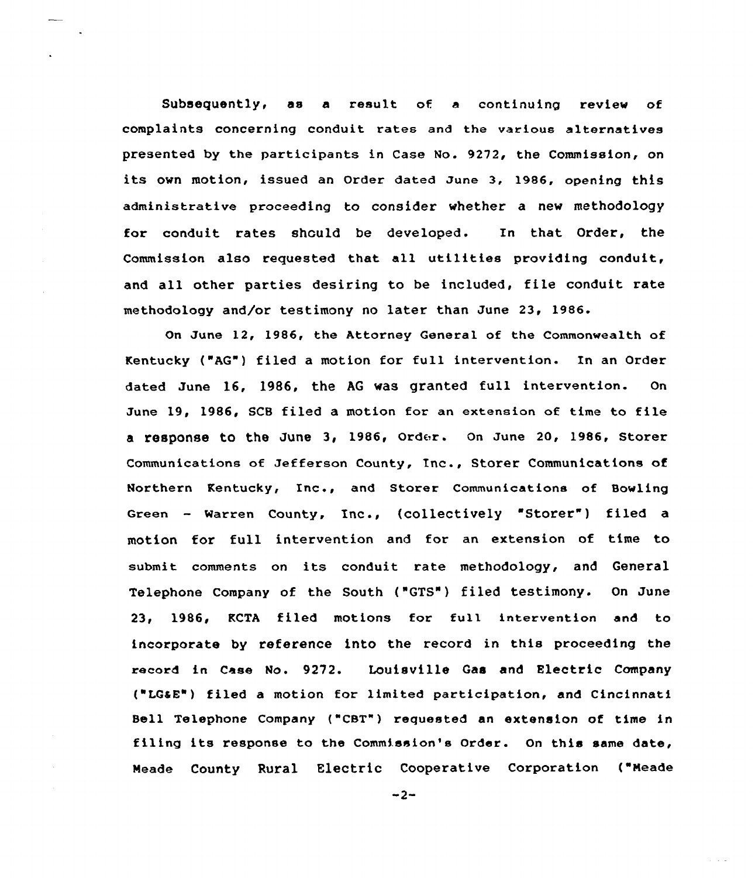Subsequently< as a result of a continuing review of complaints concerning conduit rates and the various alternatives presented by the participants in Case No. 9272, the Commission, on its own motion, issued an Order dated June 3, 1986, opening this administrative proceeding to consider whether a new methodology for conduit rates should be developed. In that Order, the Commission also requested that all utilities providing conduit, and all other parties desiring to be included, file conduit rate methodology and/or testimony no later than June 23, 1986.

On June 12, 1986, the Attorney General of the Commonwealth of Kentucky ("AG") filed a motion for full intervention. In an Order dated June 16, 1986, the AG was granted full intervention. On June 19, 1986, SCB filed a motion for an extension of time to file a response to the June 3, 1986, Order. On June 20, 1986, Storer Communications of Jefferson County, Inc., Storer Communications of Northern Kentucky, Inc., and Storer Communications of Bowling Green - Warren County, Inc., (collectively "Storer") filed a motion for full intervention and for an extension of time to submit comments on its conduit rate methodology, and General Telephone Company of the South ("GTS") filed testimony. On June 23, 1986, KCTA filed motions for full intervention and to incorporate by reference into the record in this proceeding the record in Case No. 9272. Louisvi lie Gas and Electric Company ('LG4E") filed a motion for limited participation, and Cincinnati Bell Telephone Company ("CBT") requested an extension of time in filing its response to the Commission's Order. On this same date, Meade County Rural Electric Cooperative Corporation ("Meade

 $-2-$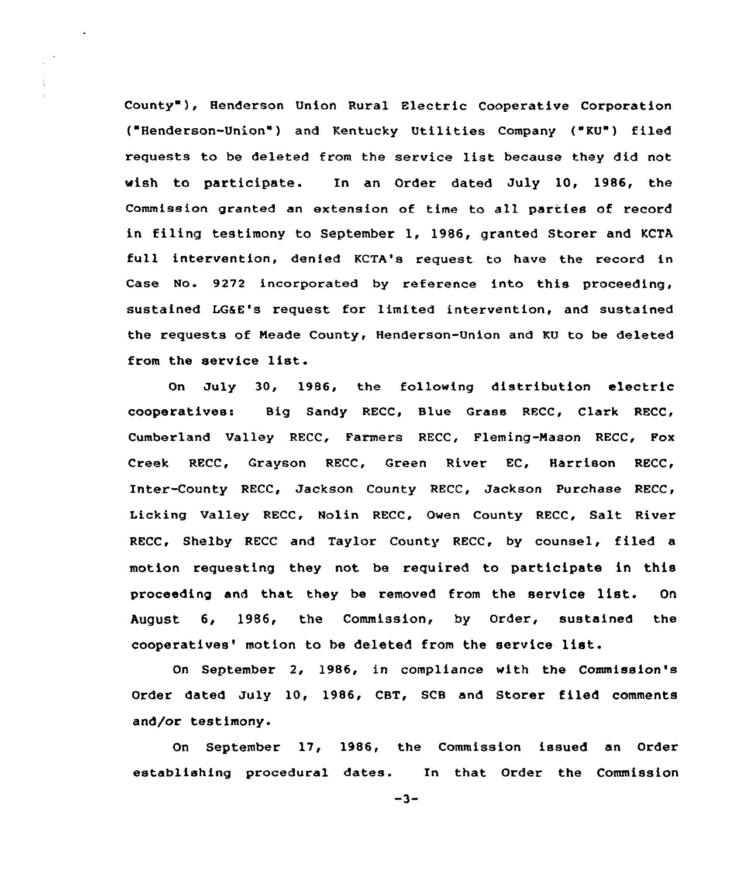County" ), Henderson Union Rural Electric Cooperative Corporation ("Henderson-Union" ) and Kentucky Utilities Company ("KU") filed requests to be deleted from the service list because they did not wish to participate. In an Order dated July 10, 1986, the Commission granted an extension of time to all parties of record in filing testimony to September 1, 1986, granted Storer and KCTA full intervention, denied KCTA's request to have the record in Case No. 9272 incorporated by reference into this proceeding, sustained LG&E's request for limited intervention, and sustained the requests of Meade County, Henderson-Union and KU to be deleted from the service list.

On July 30, 1986, the following distribution electric cooperatives: Big Sandy RECC, Slue Grass RECC, Clark RECC, Cumberland Valley RECC, Farmers RECC, Fleming-Mason RECC, Fox Creek RECC, Grayson RECC, Green River EC, Harrison RECC, Inter-County RECC, Jackson County RECC, Jackson Purchase RECC, Licking Valley RECC, Nolin RECC, Owen County RECC, Salt River RECC, Shelby RECC and Taylor County RECC, by counsel, filed a motion requesting they not be required to participate in this proceeding and that they be removed from the service list. On August 6, 1986, the Commission, by Order, sustained the cooperatives' motion to be deleted from the service list.

On September 2, 1986, in compliance with the Commission's Order dated July 10, 1986, CBT, SCB and Storer filed comments and/or testimony.

On September 17, 1986, the Commission issued an Order establishing procedural dates. In that Order the Commission

 $-3-$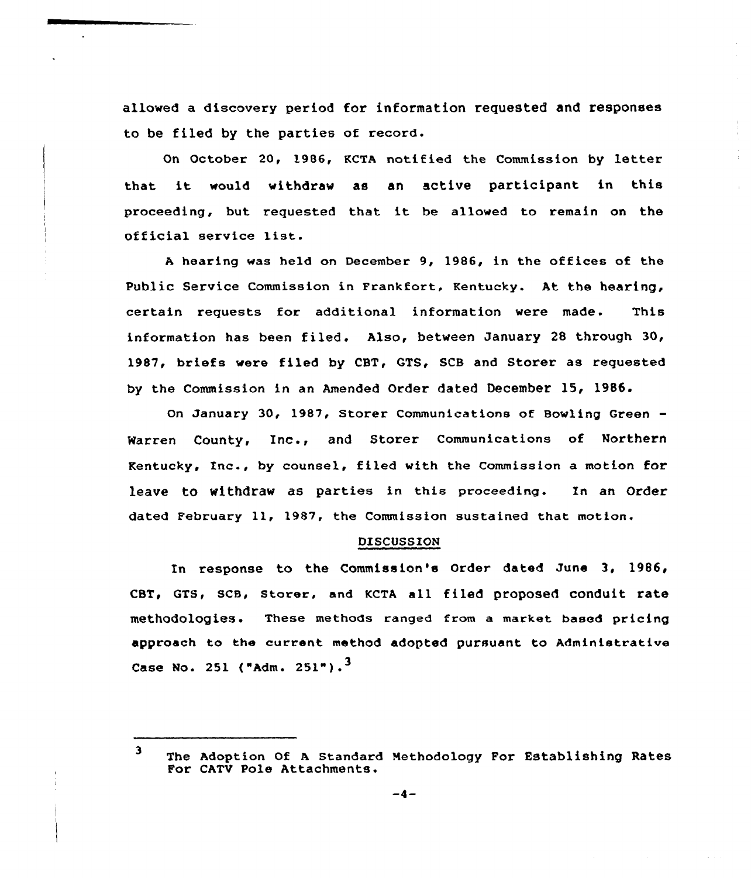allowed a discovery period for information requested and responses to be filed by the parties of record.

On October 20, 1986, KCTA notified the Commission by letter that it would withdraw as an active participant in this proceeding, but requested that it be allowed to remain on the official service list.

<sup>A</sup> hearing was held on December 9, 1986, in the offices of the Public Service Commission in Frankfort, Kentucky. At the hearing, certain requests for additional information were made. This information has been filed. Also, between January <sup>28</sup> through 30, 1987, briefs were filed by CBT, GTS, SCB and Storer as requested by the Commission in an Amended Order dated December 15< 1985.

On January 30, 1987, Storer Communications of Bowling Green Warren County, Inc., and Storer Communications of Northern Kentucky, Inc., by counsel, filed with the Commission a motion for leave to withdraw as parties in this proceeding. In an Order dated February ll, 1987, the Commission sustained that motion.

#### DISCUSSION

In response to the Commission's Order dated June 3, 1986, CBT, GTS, SCB, Storer, and KCTA all filed proposed conduit rate methodologies. These methods ranged from a market based pricing approach to the current method adopted pursuant to Administrative Case No. 251 ("Adm. 251").<sup>3</sup>

<sup>3</sup> The Adoption Of <sup>A</sup> Standard Methodology For Establishing Rates For CATV Pole Attachments.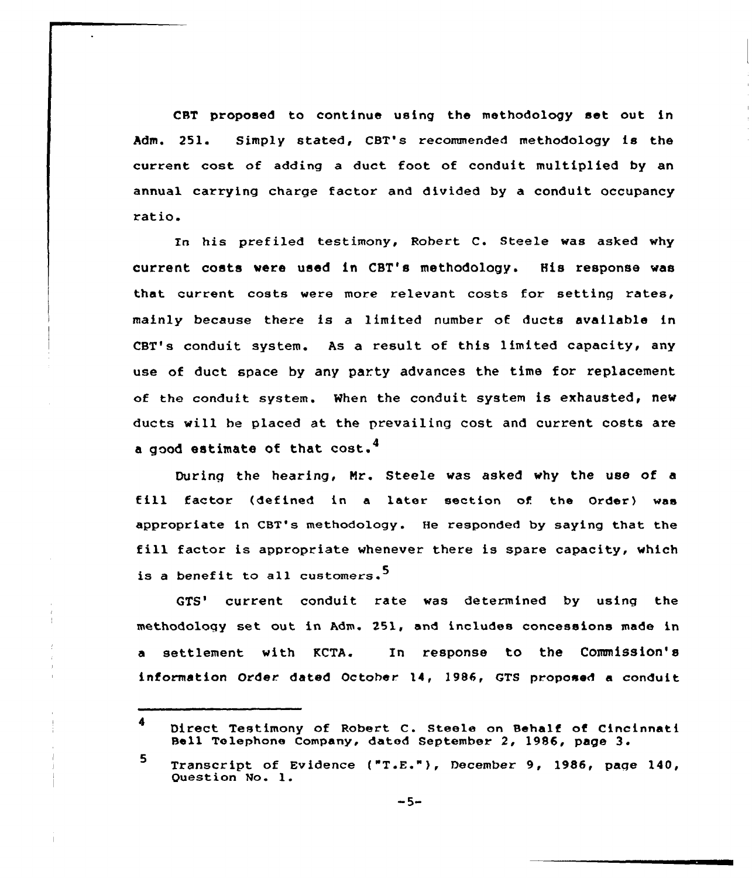CST proposed to continue using the methodology set out in Adm. 251. Simply stated, CBT's recommended methodology is the current cost of adding a duct foot, of conduit multiplied by an annual carrying charge factor and divided by a conduit occupancy ratio.

In his prefiled testimony, Robert C. Steele was asked why cuxrent costs were used in CBT's methodology. His response was that current costs were more relevant costs for setting rates, mainly because there is a 1imited number of ducts available in CBT's conduit system. As a result of this limited capacity, any use of duct space by any party advances the time for replacement of the conduit system. When the conduit system is exhausted, new ducts will be placed at the prevailing cost and cuxrent costs are a good estimate of that  $cost.^4$ 

During the heaxing, Nr. Steele was asked why the use of a till factor (defined in <sup>a</sup> later section of the Order) was appropriate in CBT's methodology. He responded by saying that the fill factor is appropriate whenever there is spare capacity, which is a benefit to all customers.<sup>5</sup>

GTS' current conduit rate was determined by using the methodology set out in Adm. 251, and includes concessions made in a settlement with KCTA. In response to the Commission's information Order dated October. 14, 1986, GTS proposed a conduit

Direct Testimony of Robert C. Steele on Behalf of Cincinnati Bell Telephone Company, dated September 2, 1986, page 3.

<sup>5</sup> Transcript of Evidence ("T.E."), December 9, 1986, page 140, Question No. 1.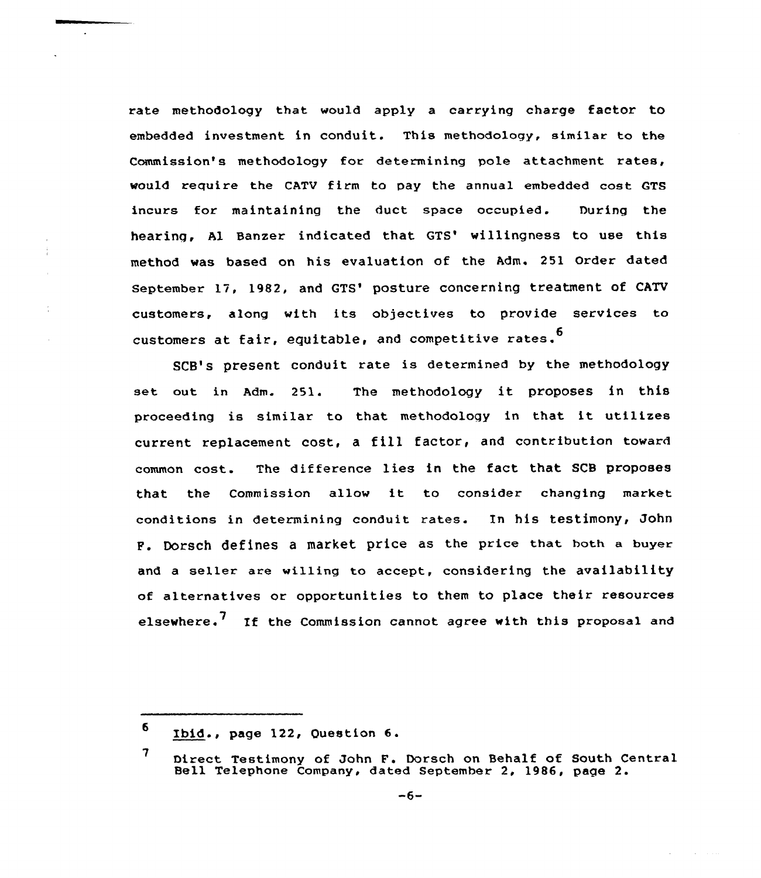rate methodology that would apply a carrying charge factor to embedded investment in conduit. This methodology, similar to the Commission's methodology for determining pole attachment rates, would require the CATV firm to pay the annual embedded cost GTS incurs for maintaining the duct space occupied. During the hearing, Al Banzer indicated that GTS' willingness to use this method was based on his evaluation of the Adm. 251 Order dated September 17, 1982, and GTS' posture concerning treatment of CATV customers, along with its objectives to provide services to customers at fair, equitable, and competitive rates.<sup>6</sup>

SCB's present conduit rate is determined by the methodology set out in Adm. 251. The methodology it proposes in this proceeding is similar to that methodology in that it utilizes current replacement cost, <sup>a</sup> fill factor, and contribution toward common cost. The difference lies in the fact that SCB proposes that the Commission allow it to consider changing market conditions in determining conduit rates. In his testimony, John P. Dorsch defines a market price as the price that both a buyer and a seller are willing to accept, considering the availability of alternatives or opportunities to them to place their resources elsewhere.<sup>'</sup> If the Commission cannot agree with this proposal and

<sup>6</sup> Ibid., page 122, Question 6.

<sup>7</sup> Direct Testimony of John F. Dorsch on Behalf of South Central Bell Telephone Company, dated September 2, 1986, page 2.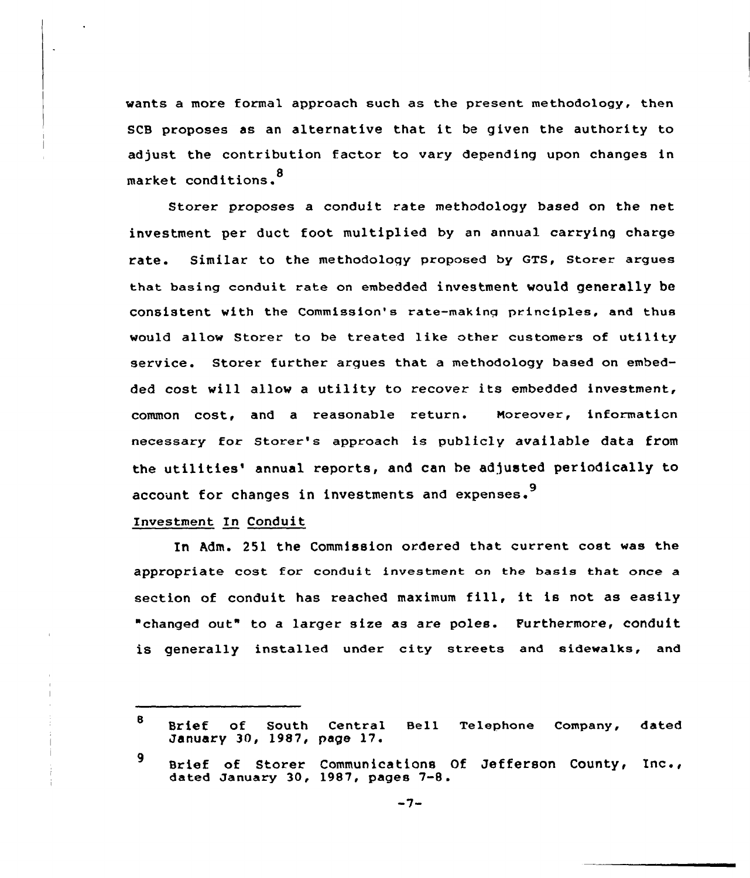wants a more formal approach such as the present methodology, then SCB proposes as an alternative that it be given the authority to adjust the contribution factor to vary depending upon changes in market conditions. <sup>8</sup>

Storer proposes a conduit rate methodology based on the net investment per duct foot multiplied by an annual carrying charge rate. Similar to the methodology proposed by GTS, storer argues that basing conduit rate on embedded investment would generally be consistent with the Commission's rate-making principles, and thus would allow Storer to be treated like other customers of utility service. Storer further argues that a methodology based on embedded cost vill allow <sup>a</sup> utility to recover its embedded investment, common cost, and a reasonable return. Moreover, information necessary for storer's approach is publicly available data from the utilities' annual reports, and can be adjusted periodically to account for changes in investments and expenses.<sup>9</sup>

Investment In Conduit

In Adm. 251 the Commission ordered that current cost was the appropriate cost for conduit investment on the basis that once a section of conduit has reached maximum fill, it is not as easily changed out" to a larger size as are poles. Furthermore, conduit is generally installed under city streets and sidewalks, and

 $\mathbf{B}$ Brief of South Central Bell Telephone Company, datem<br>January 30,1987,page17.

<sup>9</sup> Brief of Storer Communications Of Jefferson County, Inc., dated January 30, 1987, pages 7-8.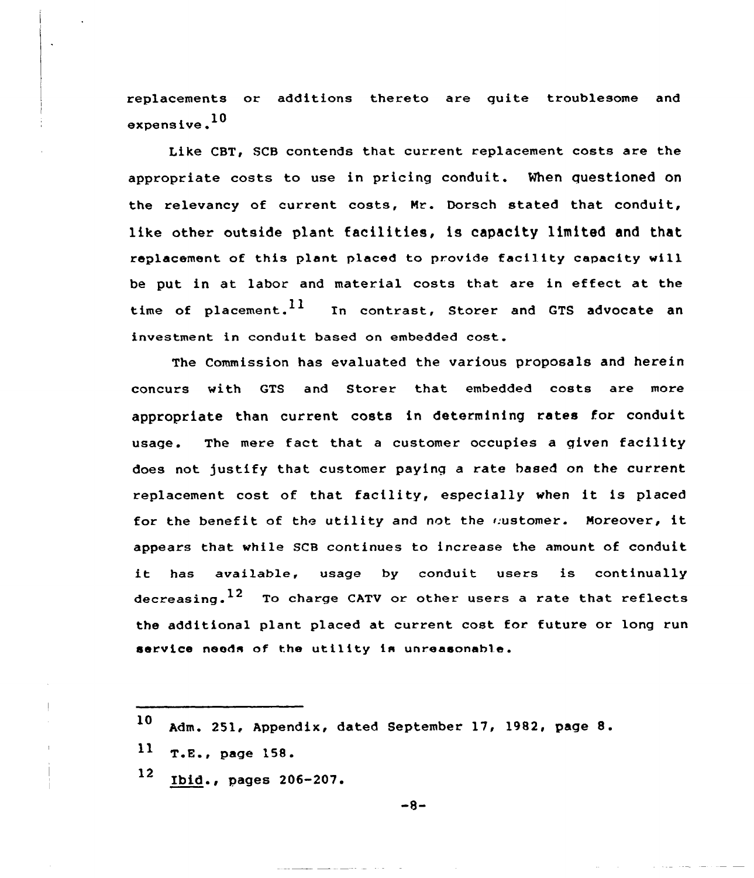replacements or additions thereto are guite troublesome and expensive.<sup>10</sup>

Like CBT, SCB contends that current replacement costs are the appropriate costs to use in pricing conduit. When questioned on the relevancy of current costs, Nr. Dorsch stated that conduit, like other outside plant facilities, is capacity limited and that replacement of this plant placed to provide facility capacity will be put in at labor and material costs that are in effect at the time of placement.  $^{11}$  In contrast, Storer and GTS advocate an investment in conduit based on embedded cost.

The Commission has evaluated the various proposals and herein concurs with GTS and Storer that embedded costs are more appropriate than current costs in determining rates for conduit usage. The mere fact that <sup>a</sup> customer occupies a given facility does not justify that customer paying a rate based on the current replacement cost of that facility, especially when it is placed for the benefit of the utility and not the mustomer. Moreover, it appears that while SCB continues to increase the amount of conduit it has avai1able, usage by conduit users is continually decreasing.  $12$  To charge CATV or other users a rate that reflects the additional plant placed at current cost for future or long run service needs of the utility is unreasonable.

<sup>12</sup> Ibid., pages 206-207.

 $-8-$ 

<sup>10</sup> Adm. 251, Appendix, dated September 17, 1982, page 8.

<sup>11</sup> T.E., page 158.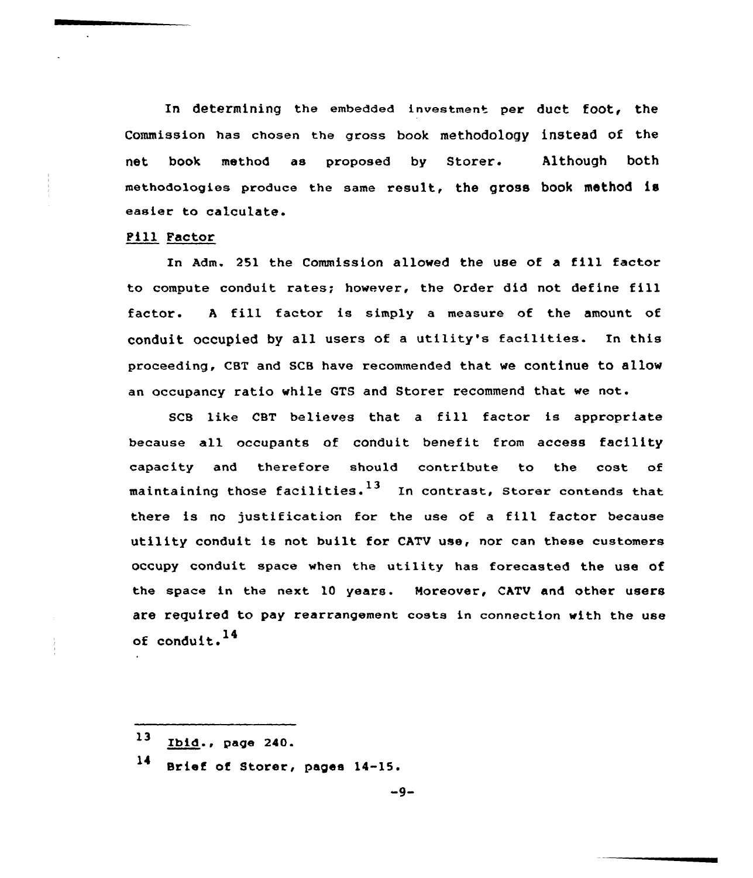In determining the embedded investment per duct foot, the Commission has chosen the grass book methodology instead of the net book method as proposed by Storer. Although both methodalagies produce the same result, the gross book method is easier to calculate.

### Fill Factor

In Adm. <sup>251</sup> the Commission allowed the use of <sup>a</sup> fill factor to compute conduit rates; however, the Order did not define fill factor. <sup>A</sup> fill factor is simply <sup>a</sup> measure of the amount of conduit occupied by all users of <sup>a</sup> utility's facilities. Xn this proceeding, CBT and SCB have recommended that we continue to allow an occupancy ratio while GTS and Storer recommend that we not.

SCB like CBT believes that <sup>a</sup> fill factor is appropriate because all occupants of conduit benefit fram access facility capacity and therefore should contribute to the cost of maintaining those facilities.<sup>13</sup> In contrast, Storer contends that there is no justification for the use of a fill factor because utility conduit is not built for CATV use, nor can these customers occupy conduit space when the utility has forecasted the use of the space in the next 10 years. Moreover, CATV and other users are required to pay rearrangement costs in connection with the use of conduit. <sup>14</sup>

- $13$ Ibid., page 240.
- <sup>14</sup> Brief of Storer, pages 14-15.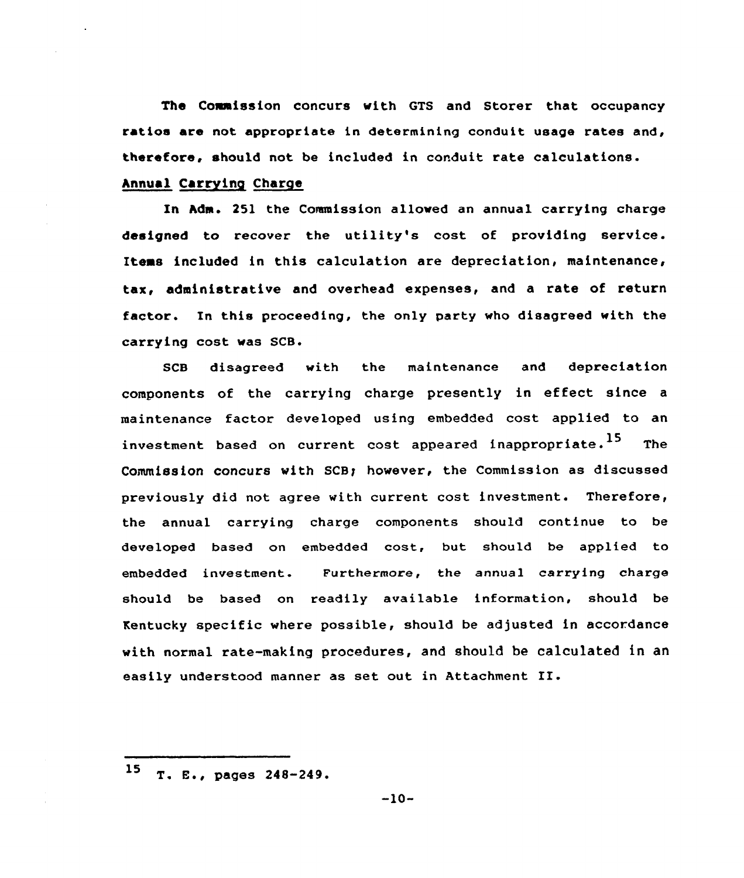The Commission concurs with GTS and Storer that occupancy ratios are not appropriate in determining conduit usage rates and, therefore, should not be included in conduit rate calculations.

## Annual Carrying Charge

In Adm. 251 the Commission allowed an annual carrying charge designed to recover the utility's cost of providing service. Items included in this calculation are depreciation, maintenance, tax, administrative and overhead expenses, and a rate of return factor. In this proceeding, the only party who disagreed with the carrying cost was SCB.

SCB disagreed with the maintenance and depreciation components of the carrying charge presently in effect since <sup>a</sup> maintenance factor developed using embedded cost applied to an investment based on current cost appeared inappropriate.<sup>15</sup> The Commission concurs with SCB~ however, the Commission as discussed previously did not agree with current cost investment. Therefore, the annual carrying charge components should continue to be developed based on embedded cost, but should be applied to embedded investment. Furthermore, the annua1 carrying charge should be based on readily available information, should be Kentucky specific where possible, should be adjusted in accordance with normal rate-making procedures, and should be calculated in an easily understood manner as set out in Attachment II.

 $15$  T. E., pages  $248-249$ .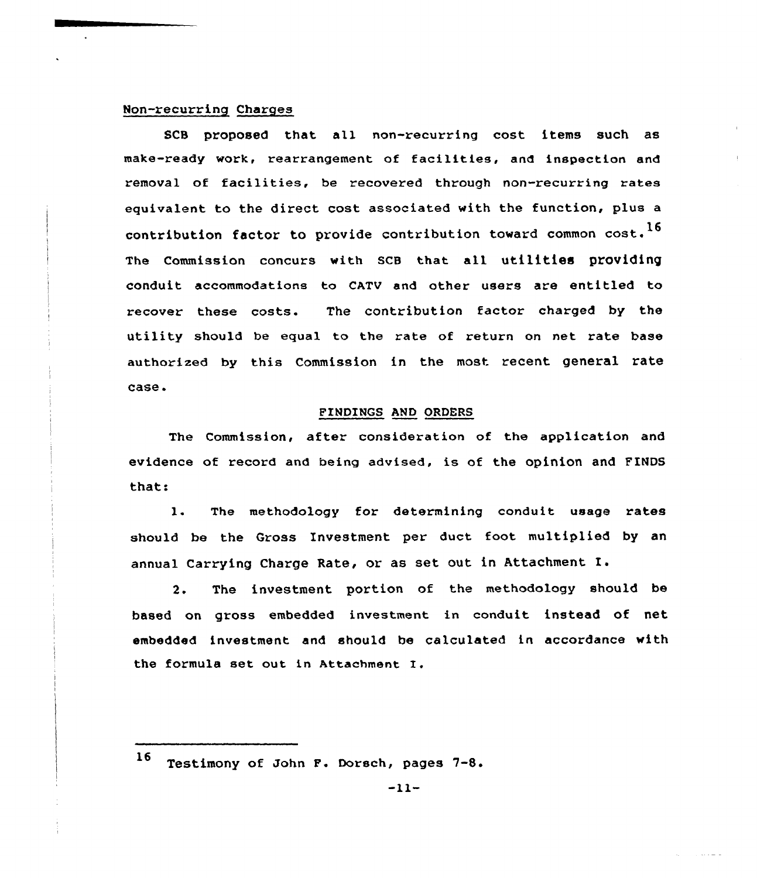### Non-recurring Charges

SCS proposed that all non-recurring cost items such as make-ready work, rearrangement of facilities, and inspection and removal of facilities, be recovered through non-recurring rates equivalent to the direct cost associated with the function, plus a contribution factor to provide contribution toward common cost.<sup>16</sup> The Commission concurs with SCB that all utilities providing conduit accommodations to CATV and other users are entitled to recover these costs. The contribution factor charged by the utility should be equal to the rate of return on net rate base authorized by this Commission in the most recent general rate case.

### FINDINGS AND ORDERS

The Commission, after consideration of the application and evidence of record and being advised, is of the opinion and FINDS that:

l. The methodology for determining conduit usage rates should be the Gross Investment per duct foot multiplied by an annual Carrying Charge Rate, or as set out in Attachment X.

2. The investment portion of the methodology should be based on gross embedded investment in conduit instead of net embedded investment and should be calculated in accordance with the formula set out in Attachment I.

الداسات بالمال

<sup>16</sup> Testimony of John F. Dorsch, pages 7-8.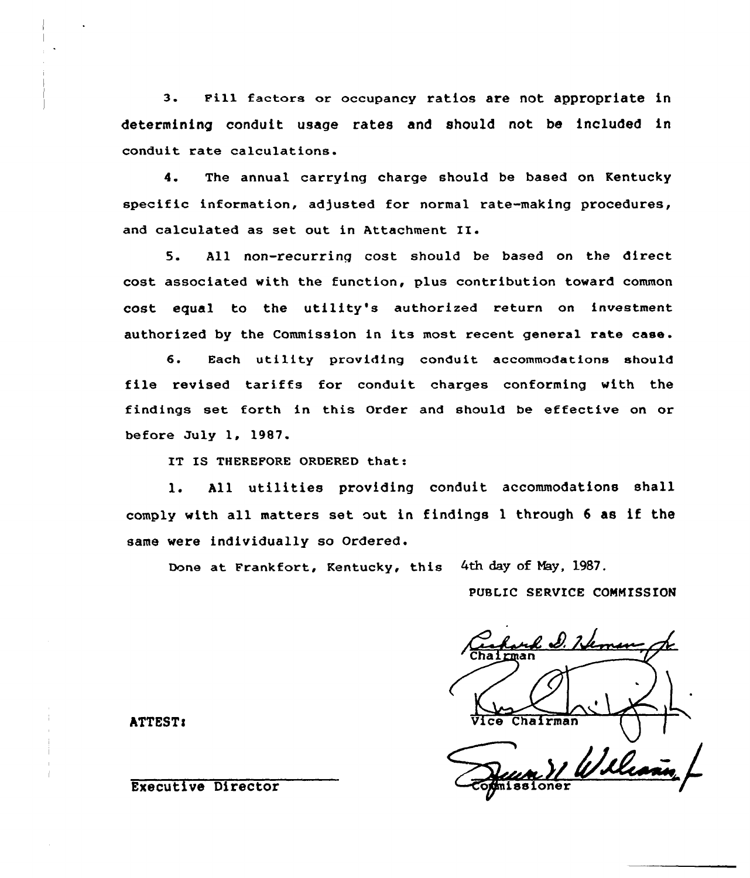3. Pill factors or occupancy ratios are not appropriate in determining conduit usage rates and should not be included in conduit rate calculations.

4. The annual carrying charge should be based on Kentucky specific information, adjusted for normal rate-making procedures, and calculated as set out in Attachment II.

5. All non-recurring cost should be based on the direct cost associated with the function, plus contribution toward common cost equal to the utility's authorized return on investment authorized by the Commission in its most recent general rate case.

6. Each utility providing conduit accommodations should file revised tariffs for conduit charges conforming with the findings set forth in this Order and should be effective on or before July 1, 1987.

IT IS THEREFORE ORDERED that:

l. All utilities providing conduit accommodations shall comply with all matters set out in findings <sup>1</sup> through <sup>6</sup> as if the same were individually so Ordered.

Done at Frankfort, Kentucky, this 4th day of Nay, 1987.

PUBLIC SERVICE COMMISSION

ul D. Neme ATTEST:  $\overline{V}$ ice Chairma Wile

Executive Director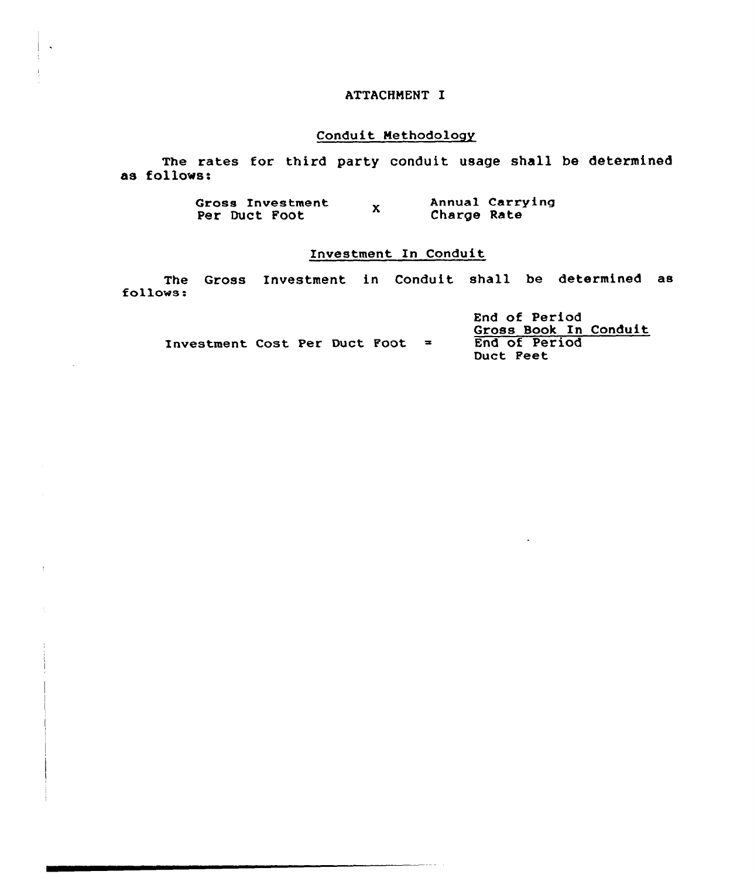## ATTACHMENT I

## Conduit Methodology

The rates for third party conduit usage shall be determined as follows:

> Annual Carrying Gross Investment  $\mathbf{x}$ Charge Rate Per Duct Foot

## Investment In Conduit

The Gross Investment in Conduit shall be determined as follows:

|                                      |  |  | End of Period<br>Gross Book In Conduit |
|--------------------------------------|--|--|----------------------------------------|
| <b>Investment Cost Per Duct Foot</b> |  |  | End of Period<br>Duct Peet             |